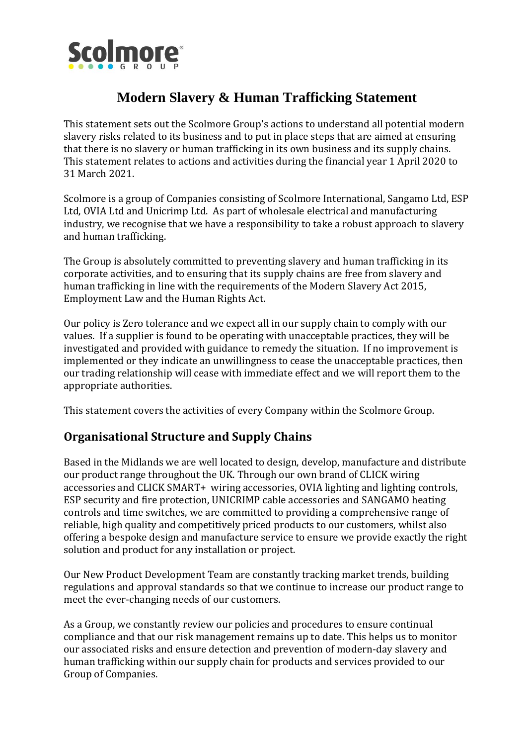

# **Modern Slavery & Human Trafficking Statement**

This statement sets out the Scolmore Group's actions to understand all potential modern slavery risks related to its business and to put in place steps that are aimed at ensuring that there is no slavery or human trafficking in its own business and its supply chains. This statement relates to actions and activities during the financial year 1 April 2020 to 31 March 2021.

Scolmore is a group of Companies consisting of Scolmore International, Sangamo Ltd, ESP Ltd, OVIA Ltd and Unicrimp Ltd. As part of wholesale electrical and manufacturing industry, we recognise that we have a responsibility to take a robust approach to slavery and human trafficking.

The Group is absolutely committed to preventing slavery and human trafficking in its corporate activities, and to ensuring that its supply chains are free from slavery and human trafficking in line with the requirements of the Modern Slavery Act 2015, Employment Law and the Human Rights Act.

Our policy is Zero tolerance and we expect all in our supply chain to comply with our values. If a supplier is found to be operating with unacceptable practices, they will be investigated and provided with guidance to remedy the situation. If no improvement is implemented or they indicate an unwillingness to cease the unacceptable practices, then our trading relationship will cease with immediate effect and we will report them to the appropriate authorities.

This statement covers the activities of every Company within the Scolmore Group.

## **Organisational Structure and Supply Chains**

Based in the Midlands we are well located to design, develop, manufacture and distribute our product range throughout the UK. Through our own brand of CLICK wiring accessories and CLICK SMART+ wiring accessories, OVIA lighting and lighting controls, ESP security and fire protection, UNICRIMP cable accessories and SANGAMO heating controls and time switches, we are committed to providing a comprehensive range of reliable, high quality and competitively priced products to our customers, whilst also offering a bespoke design and manufacture service to ensure we provide exactly the right solution and product for any installation or project.

Our New Product Development Team are constantly tracking market trends, building regulations and approval standards so that we continue to increase our product range to meet the ever-changing needs of our customers.

As a Group, we constantly review our policies and procedures to ensure continual compliance and that our risk management remains up to date. This helps us to monitor our associated risks and ensure detection and prevention of modern-day slavery and human trafficking within our supply chain for products and services provided to our Group of Companies.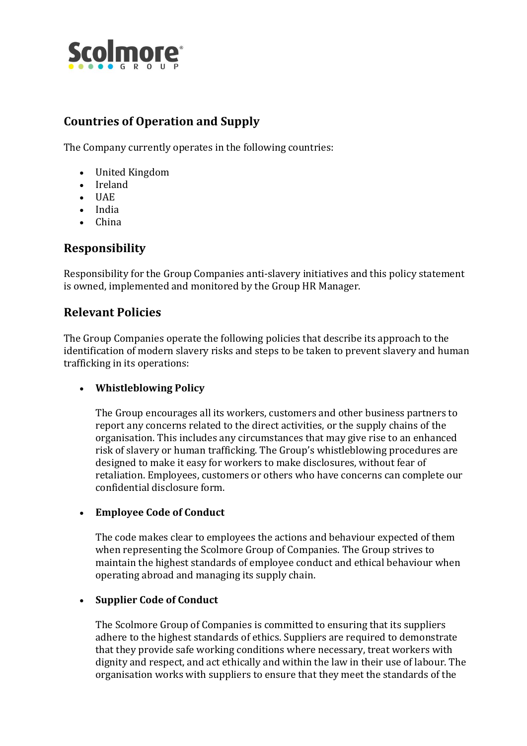

## **Countries of Operation and Supply**

The Company currently operates in the following countries:

- United Kingdom
- Ireland
- UAE
- India
- China

## **Responsibility**

Responsibility for the Group Companies anti-slavery initiatives and this policy statement is owned, implemented and monitored by the Group HR Manager.

## **Relevant Policies**

The Group Companies operate the following policies that describe its approach to the identification of modern slavery risks and steps to be taken to prevent slavery and human trafficking in its operations:

#### • **Whistleblowing Policy**

The Group encourages all its workers, customers and other business partners to report any concerns related to the direct activities, or the supply chains of the organisation. This includes any circumstances that may give rise to an enhanced risk of slavery or human trafficking. The Group's whistleblowing procedures are designed to make it easy for workers to make disclosures, without fear of retaliation. Employees, customers or others who have concerns can complete our confidential disclosure form.

#### • **Employee Code of Conduct**

The code makes clear to employees the actions and behaviour expected of them when representing the Scolmore Group of Companies. The Group strives to maintain the highest standards of employee conduct and ethical behaviour when operating abroad and managing its supply chain.

#### • **Supplier Code of Conduct**

The Scolmore Group of Companies is committed to ensuring that its suppliers adhere to the highest standards of ethics. Suppliers are required to demonstrate that they provide safe working conditions where necessary, treat workers with dignity and respect, and act ethically and within the law in their use of labour. The organisation works with suppliers to ensure that they meet the standards of the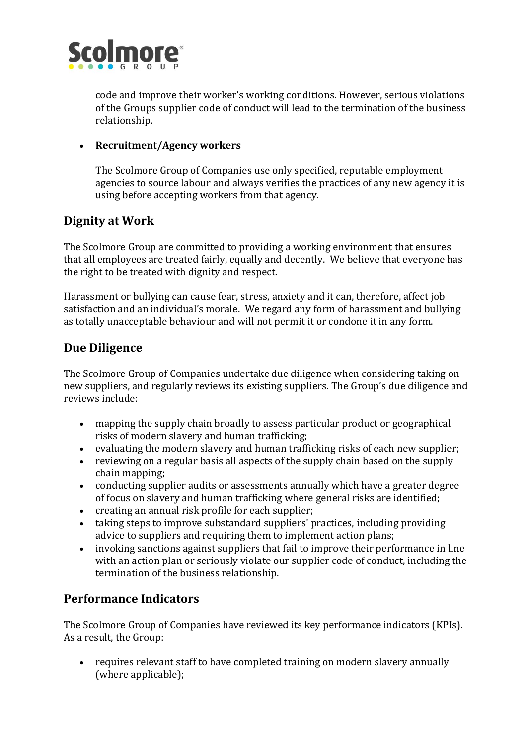

code and improve their worker's working conditions. However, serious violations of the Groups supplier code of conduct will lead to the termination of the business relationship.

#### • **Recruitment/Agency workers**

The Scolmore Group of Companies use only specified, reputable employment agencies to source labour and always verifies the practices of any new agency it is using before accepting workers from that agency.

## **Dignity at Work**

The Scolmore Group are committed to providing a working environment that ensures that all employees are treated fairly, equally and decently. We believe that everyone has the right to be treated with dignity and respect.

Harassment or bullying can cause fear, stress, anxiety and it can, therefore, affect job satisfaction and an individual's morale. We regard any form of harassment and bullying as totally unacceptable behaviour and will not permit it or condone it in any form.

## **Due Diligence**

The Scolmore Group of Companies undertake due diligence when considering taking on new suppliers, and regularly reviews its existing suppliers. The Group's due diligence and reviews include:

- mapping the supply chain broadly to assess particular product or geographical risks of modern slavery and human trafficking;
- evaluating the modern slavery and human trafficking risks of each new supplier;
- reviewing on a regular basis all aspects of the supply chain based on the supply chain mapping;
- conducting supplier audits or assessments annually which have a greater degree of focus on slavery and human trafficking where general risks are identified;
- creating an annual risk profile for each supplier;
- taking steps to improve substandard suppliers' practices, including providing advice to suppliers and requiring them to implement action plans;
- invoking sanctions against suppliers that fail to improve their performance in line with an action plan or seriously violate our supplier code of conduct, including the termination of the business relationship.

## **Performance Indicators**

The Scolmore Group of Companies have reviewed its key performance indicators (KPIs). As a result, the Group:

• requires relevant staff to have completed training on modern slavery annually (where applicable);